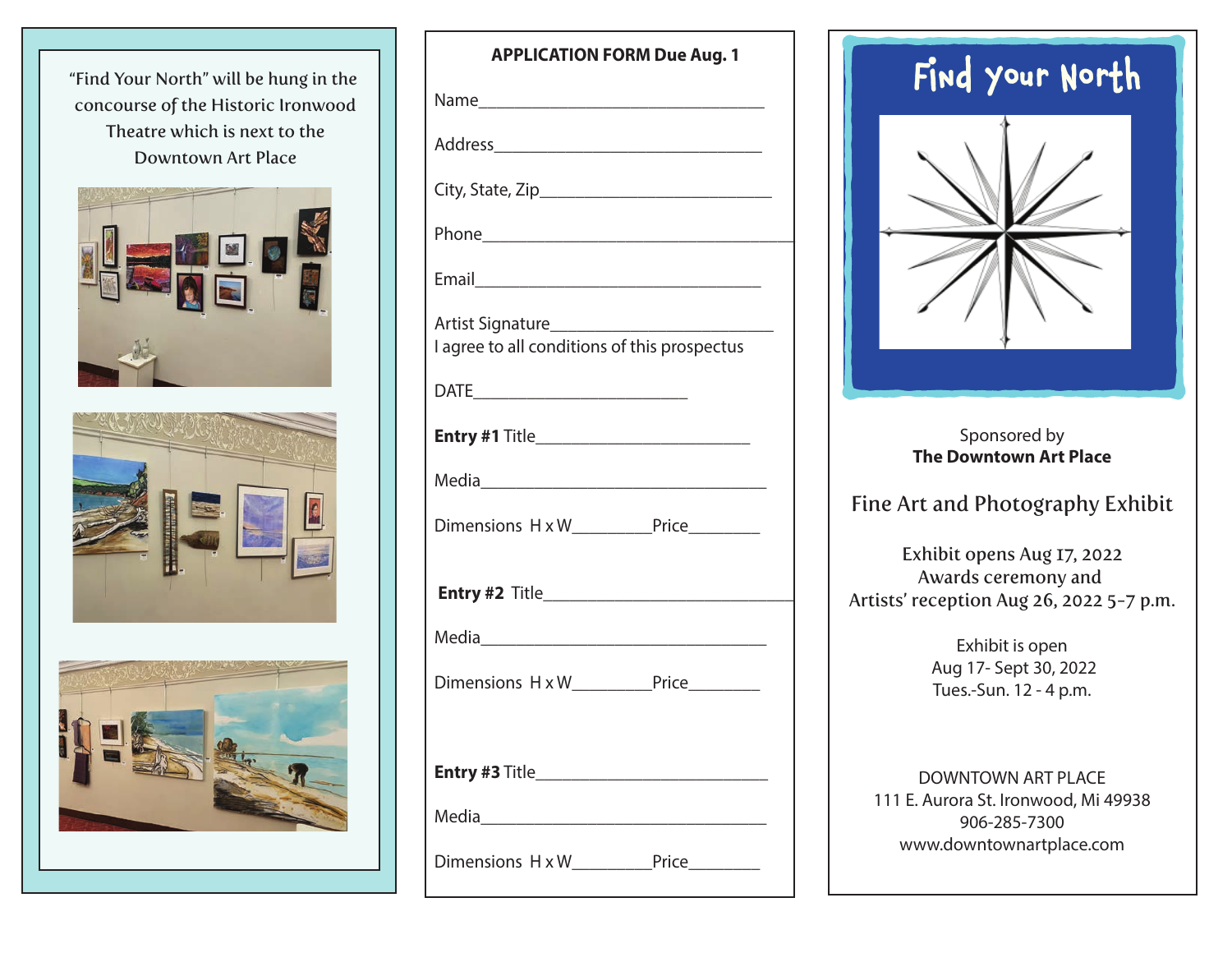"Find Your North" will be hung in the concourse of the Historic Ironwood Theatre which is next to the Downtown Art Place







| <b>APPLICATION FORM Due Aug. 1</b>                                       |
|--------------------------------------------------------------------------|
|                                                                          |
|                                                                          |
|                                                                          |
|                                                                          |
|                                                                          |
| Artist Signature________<br>I agree to all conditions of this prospectus |
|                                                                          |
| Entry #1 Title____________________________                               |
|                                                                          |
|                                                                          |
|                                                                          |
|                                                                          |
| Dimensions H x W__________Price________                                  |
|                                                                          |
|                                                                          |
|                                                                          |
| Dimensions H x W___________Price_________                                |



Sponsored by **The Downtown Art Place**

# Fine Art and Photography Exhibit

Exhibit opens Aug 17, 2022 Awards ceremony and Artists' reception Aug 26, 2022 5-7 p.m.

> Exhibit is open Aug 17- Sept 30, 2022 Tues.-Sun. 12 - 4 p.m.

DOWNTOWN ART PLACE 111 E. Aurora St. Ironwood, Mi 49938 906-285-7300 www.downtownartplace.com